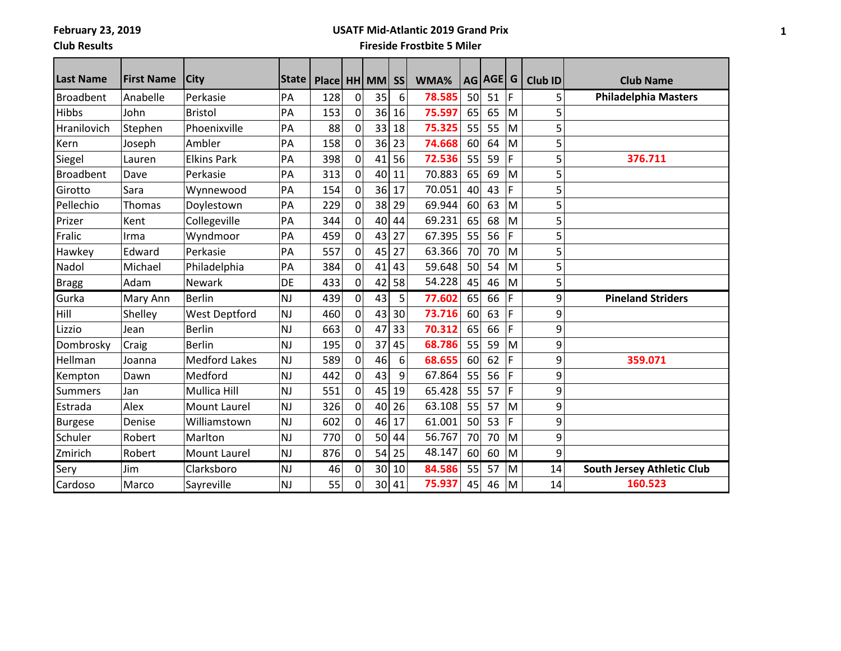### **Club Results**

## **USATF Mid-Atlantic 2019 Grand Prix**

### **Fireside Frostbite 5 Miler**

| <b>Last Name</b> | <b>First Name</b> | <b>City</b>          | <b>State</b> | Place   HH   MM |                |                 | <b>SS</b> | WMA%   |    | AG AGE G |   | Club ID        | <b>Club Name</b>                  |
|------------------|-------------------|----------------------|--------------|-----------------|----------------|-----------------|-----------|--------|----|----------|---|----------------|-----------------------------------|
| Broadbent        | Anabelle          | Perkasie             | PA           | 128             | $\mathbf 0$    | 35              | 6         | 78.585 | 50 | 51       | F | 5              | <b>Philadelphia Masters</b>       |
| Hibbs            | John              | <b>Bristol</b>       | PA           | 153             | $\Omega$       | 36              | 16        | 75.597 | 65 | 65       | M | 5              |                                   |
| Hranilovich      | Stephen           | Phoenixville         | PA           | 88              | 0              | 33              | 18        | 75.325 | 55 | 55       | M | 5              |                                   |
| Kern             | Joseph            | Ambler               | PA           | 158             | 0              | 36              | 23        | 74.668 | 60 | 64       | M | 5              |                                   |
| Siegel           | Lauren            | <b>Elkins Park</b>   | PA           | 398             | $\Omega$       | 41              | 56        | 72.536 | 55 | 59       | F | 5              | 376.711                           |
| <b>Broadbent</b> | Dave              | Perkasie             | PA           | 313             | 0              | 40              | 11        | 70.883 | 65 | 69       | M | 5              |                                   |
| Girotto          | Sara              | Wynnewood            | PA           | 154             | 0              | 36              | 17        | 70.051 | 40 | 43       | F | $\overline{5}$ |                                   |
| Pellechio        | Thomas            | Doylestown           | PA           | 229             | $\Omega$       | 38              | 29        | 69.944 | 60 | 63       | M | 5              |                                   |
| Prizer           | Kent              | Collegeville         | PA           | 344             | 0              | 40              | 44        | 69.231 | 65 | 68       | M | 5              |                                   |
| Fralic           | Irma              | Wyndmoor             | PA           | 459             | 0              | 43              | 27        | 67.395 | 55 | 56       | F | 5              |                                   |
| Hawkey           | Edward            | Perkasie             | PA           | 557             | $\Omega$       | 45              | 27        | 63.366 | 70 | 70       | M | 5              |                                   |
| Nadol            | Michael           | Philadelphia         | PA           | 384             | 0              | 41              | 43        | 59.648 | 50 | 54       | M | 5              |                                   |
| <b>Bragg</b>     | Adam              | <b>Newark</b>        | DE           | 433             | 0              | 42              | 58        | 54.228 | 45 | 46       | M | 5              |                                   |
| Gurka            | Mary Ann          | <b>Berlin</b>        | NJ           | 439             | 0              | 43              | 5         | 77.602 | 65 | 66       | F | 9              | <b>Pineland Striders</b>          |
| Hill             | Shelley           | <b>West Deptford</b> | <b>NJ</b>    | 460             | 0              | 43              | 30        | 73.716 | 60 | 63       | F | 9              |                                   |
| Lizzio           | Jean              | <b>Berlin</b>        | <b>NJ</b>    | 663             | 0              | 47              | 33        | 70.312 | 65 | 66       | F | 9              |                                   |
| Dombrosky        | Craig             | <b>Berlin</b>        | <b>NJ</b>    | 195             | $\mathbf 0$    | 37              | 45        | 68.786 | 55 | 59       | M | 9              |                                   |
| Hellman          | Joanna            | <b>Medford Lakes</b> | <b>NJ</b>    | 589             | 0              | 46              | 6         | 68.655 | 60 | 62       | F | 9              | 359.071                           |
| Kempton          | Dawn              | Medford              | <b>NJ</b>    | 442             | 0              | 43              | 9         | 67.864 | 55 | 56       | F | 9              |                                   |
| <b>Summers</b>   | Jan               | Mullica Hill         | <b>NJ</b>    | 551             | $\Omega$       | 45              | 19        | 65.428 | 55 | 57       | F | 9              |                                   |
| Estrada          | Alex              | Mount Laurel         | <b>NJ</b>    | 326             | 0              | 40              | 26        | 63.108 | 55 | 57       | M | 9              |                                   |
| <b>Burgese</b>   | Denise            | Williamstown         | <b>NJ</b>    | 602             | 0              | 46              | 17        | 61.001 | 50 | 53       | F | 9              |                                   |
| Schuler          | Robert            | Marlton              | <b>NJ</b>    | 770             | $\Omega$       | 50              | 44        | 56.767 | 70 | 70       | M | 9              |                                   |
| Zmirich          | Robert            | <b>Mount Laurel</b>  | <b>NJ</b>    | 876             | $\overline{0}$ | 54              | 25        | 48.147 | 60 | 60       | M | 9              |                                   |
| Sery             | Jim               | Clarksboro           | <b>NJ</b>    | 46              | 0              | 30              | 10        | 84.586 | 55 | 57       | M | 14             | <b>South Jersey Athletic Club</b> |
| Cardoso          | Marco             | Sayreville           | <b>NJ</b>    | 55              | 0              | 30 <sup>2</sup> | 41        | 75.937 | 45 | 46       | M | 14             | 160.523                           |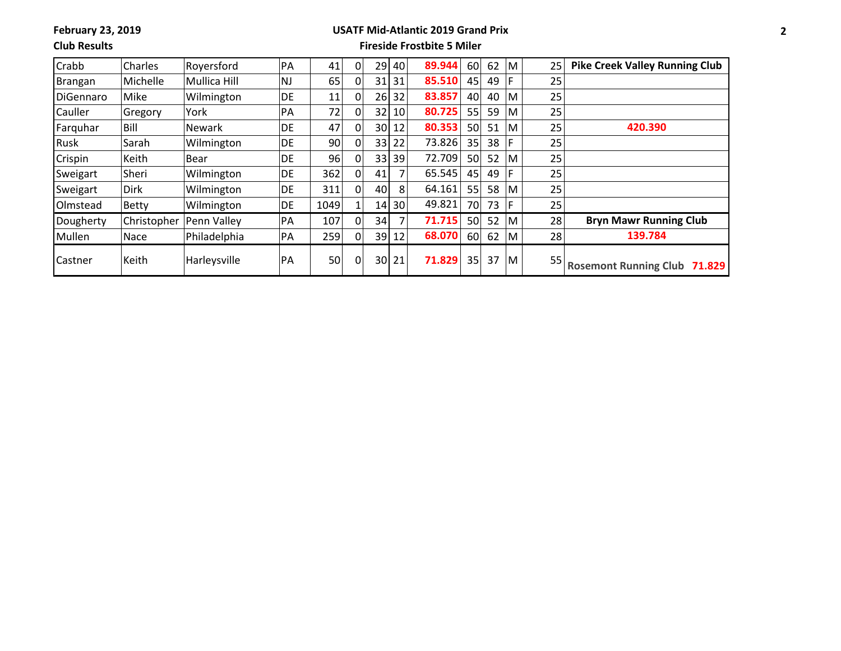### **Club Results**

#### **USATF Mid-Atlantic 2019 Grand Prix Fireside Frostbite 5 Miler**

| Crabb     | Charles      | Royersford          | PA        | 41   |   | 29 | 40              | 89.944 | 60 | 62 | M   | 25              | <b>Pike Creek Valley Running Club</b>  |
|-----------|--------------|---------------------|-----------|------|---|----|-----------------|--------|----|----|-----|-----------------|----------------------------------------|
| Brangan   | Michelle     | <b>Mullica Hill</b> | <b>NJ</b> | 65   |   | 31 | 31              | 85.510 | 45 | 49 | ١F  | 25              |                                        |
| DiGennaro | Mike         | Wilmington          | DE        | 11   |   | 26 | 32              | 83.857 | 40 | 40 | M   | 25              |                                        |
| Cauller   | Gregory      | York                | PA        | 72   |   | 32 | 10 <sup>1</sup> | 80.725 | 55 | 59 | M   | 25              |                                        |
| Farquhar  | Bill         | <b>Newark</b>       | DE        | 47   |   | 30 | 12              | 80.353 | 50 | 51 | M   | 25              | 420.390                                |
| Rusk      | Sarah        | Wilmington          | DE        | 90   |   | 33 | 22              | 73.826 | 35 | 38 | ١F  | 25              |                                        |
| Crispin   | Keith        | Bear                | DE        | 96   |   | 33 | 39              | 72.709 | 50 | 52 | M   | 25 <sub>1</sub> |                                        |
| Sweigart  | Sheri        | Wilmington          | DE.       | 362  |   | 41 |                 | 65.545 | 45 | 49 | F   | 25              |                                        |
| Sweigart  | <b>Dirk</b>  | Wilmington          | DE        | 311  |   | 40 | 8               | 64.161 | 55 | 58 | M   | 25              |                                        |
| Olmstead  | <b>Betty</b> | Wilmington          | DE.       | 1049 |   | 14 | 30 <sup>2</sup> | 49.821 | 70 | 73 | -lF | 25              |                                        |
| Dougherty | Christopher  | Penn Valley         | PA        | 107  |   | 34 |                 | 71.715 | 50 | 52 | IM. | 28              | <b>Bryn Mawr Running Club</b>          |
| Mullen    | Nace         | Philadelphia        | PA        | 259  |   | 39 | 12              | 68.070 | 60 | 62 | м   | 28              | 139.784                                |
| Castner   | Keith        | Harleysville        | PA        | 50   | 0 | 30 | 21              | 71.829 | 35 | 37 | IM. | 55              | <b>Rosemont Running Club</b><br>71.829 |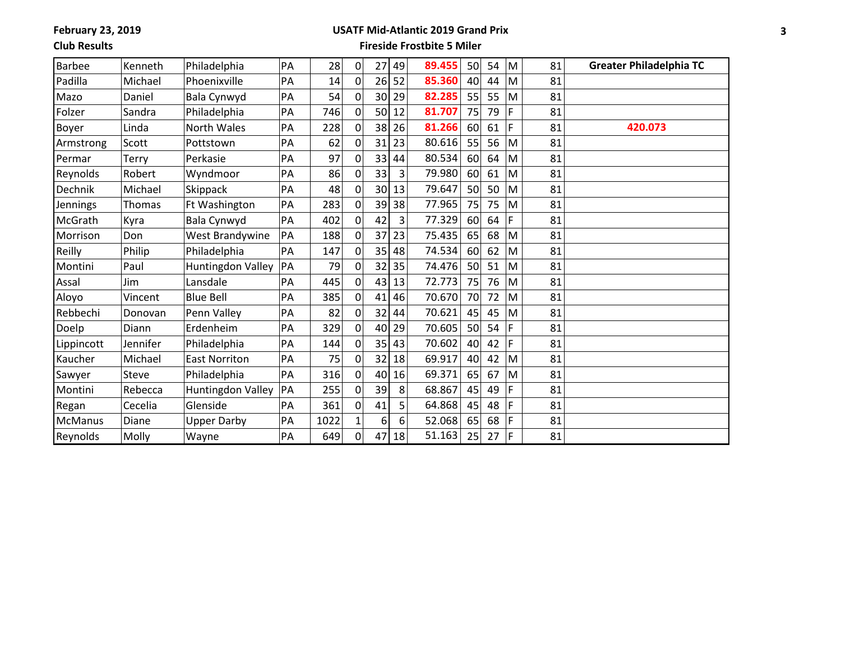### **Club Results**

# **USATF Mid-Atlantic 2019 Grand Prix**

**Fireside Frostbite 5 Miler**

| <b>Barbee</b> | Kenneth  | Philadelphia             | PA | 28   | $\Omega$ | 27 | 49 | 89.455 | 50 | 54 | M | 81 | <b>Greater Philadelphia TC</b> |
|---------------|----------|--------------------------|----|------|----------|----|----|--------|----|----|---|----|--------------------------------|
| Padilla       | Michael  | Phoenixville             | PA | 14   | 0        | 26 | 52 | 85.360 | 40 | 44 | M | 81 |                                |
| Mazo          | Daniel   | Bala Cynwyd              | PA | 54   | 0        | 30 | 29 | 82.285 | 55 | 55 | M | 81 |                                |
| Folzer        | Sandra   | Philadelphia             | PA | 746  | 0        | 50 | 12 | 81.707 | 75 | 79 | F | 81 |                                |
| Boyer         | Linda    | <b>North Wales</b>       | PA | 228  | 0        | 38 | 26 | 81.266 | 60 | 61 | F | 81 | 420.073                        |
| Armstrong     | Scott    | Pottstown                | PA | 62   | 0        | 31 | 23 | 80.616 | 55 | 56 | M | 81 |                                |
| Permar        | Terry    | Perkasie                 | PA | 97   | 0        | 33 | 44 | 80.534 | 60 | 64 | M | 81 |                                |
| Reynolds      | Robert   | Wyndmoor                 | PA | 86   | 0        | 33 | 3  | 79.980 | 60 | 61 | M | 81 |                                |
| Dechnik       | Michael  | Skippack                 | PA | 48   | 0        | 30 | 13 | 79.647 | 50 | 50 | M | 81 |                                |
| Jennings      | Thomas   | Ft Washington            | PA | 283  | 0        | 39 | 38 | 77.965 | 75 | 75 | M | 81 |                                |
| McGrath       | Kyra     | Bala Cynwyd              | PA | 402  | 0        | 42 | 3  | 77.329 | 60 | 64 | F | 81 |                                |
| Morrison      | Don      | West Brandywine          | PA | 188  | 0        | 37 | 23 | 75.435 | 65 | 68 | M | 81 |                                |
| Reilly        | Philip   | Philadelphia             | PA | 147  | 0        | 35 | 48 | 74.534 | 60 | 62 | M | 81 |                                |
| Montini       | Paul     | <b>Huntingdon Valley</b> | PA | 79   | 0        | 32 | 35 | 74.476 | 50 | 51 | M | 81 |                                |
| Assal         | Jim      | Lansdale                 | PA | 445  | 0        | 43 | 13 | 72.773 | 75 | 76 | M | 81 |                                |
| Aloyo         | Vincent  | <b>Blue Bell</b>         | PA | 385  | $\Omega$ | 41 | 46 | 70.670 | 70 | 72 | M | 81 |                                |
| Rebbechi      | Donovan  | Penn Valley              | PA | 82   | 0        | 32 | 44 | 70.621 | 45 | 45 | M | 81 |                                |
| Doelp         | Diann    | Erdenheim                | PA | 329  | $\Omega$ | 40 | 29 | 70.605 | 50 | 54 | F | 81 |                                |
| Lippincott    | Jennifer | Philadelphia             | PA | 144  | 0        | 35 | 43 | 70.602 | 40 | 42 | F | 81 |                                |
| Kaucher       | Michael  | <b>East Norriton</b>     | PA | 75   | $\Omega$ | 32 | 18 | 69.917 | 40 | 42 | M | 81 |                                |
| Sawyer        | Steve    | Philadelphia             | PA | 316  | 0        | 40 | 16 | 69.371 | 65 | 67 | M | 81 |                                |
| Montini       | Rebecca  | Huntingdon Valley        | PA | 255  | 0        | 39 | 8  | 68.867 | 45 | 49 | F | 81 |                                |
| Regan         | Cecelia  | Glenside                 | PA | 361  | 0        | 41 | 5  | 64.868 | 45 | 48 | F | 81 |                                |
| McManus       | Diane    | <b>Upper Darby</b>       | PA | 1022 |          | 6  | 6  | 52.068 | 65 | 68 | F | 81 |                                |
| Reynolds      | Molly    | Wayne                    | PA | 649  | 0        | 47 | 18 | 51.163 | 25 | 27 | F | 81 |                                |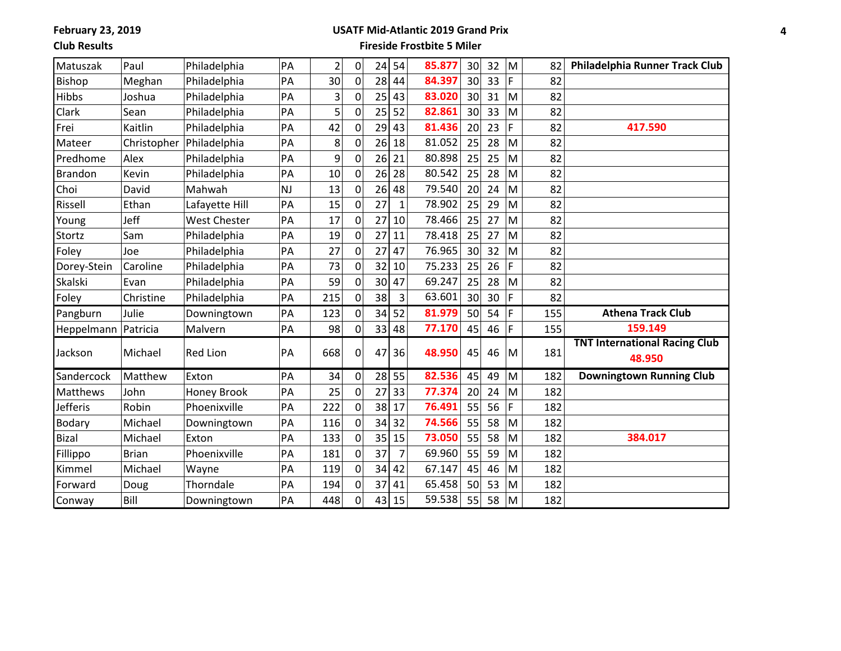### **Club Results**

# **USATF Mid-Atlantic 2019 Grand Prix**

### **Fireside Frostbite 5 Miler**

| Matuszak        | Paul         | Philadelphia        | PA        | $\overline{c}$ | 0           | 24 | 54           | 85.877 | 30 | 32 | M  | 82  | Philadelphia Runner Track Club                 |
|-----------------|--------------|---------------------|-----------|----------------|-------------|----|--------------|--------|----|----|----|-----|------------------------------------------------|
| <b>Bishop</b>   | Meghan       | Philadelphia        | PA        | 30             | 0           | 28 | 44           | 84.397 | 30 | 33 | F. | 82  |                                                |
| <b>Hibbs</b>    | Joshua       | Philadelphia        | PA        | 3              | 0           | 25 | 43           | 83.020 | 30 | 31 | M  | 82  |                                                |
| Clark           | Sean         | Philadelphia        | PA        | 5              | 0           | 25 | 52           | 82.861 | 30 | 33 | M  | 82  |                                                |
| Frei            | Kaitlin      | Philadelphia        | PA        | 42             | 0           | 29 | 43           | 81.436 | 20 | 23 | F  | 82  | 417.590                                        |
| Mateer          | Christopher  | Philadelphia        | PA        | 8              | 0           | 26 | 18           | 81.052 | 25 | 28 | M  | 82  |                                                |
| Predhome        | Alex         | Philadelphia        | PA        | 9              | 0           | 26 | 21           | 80.898 | 25 | 25 | M  | 82  |                                                |
| <b>Brandon</b>  | Kevin        | Philadelphia        | PA        | 10             | 0           | 26 | 28           | 80.542 | 25 | 28 | M  | 82  |                                                |
| Choi            | David        | Mahwah              | <b>NJ</b> | 13             | 0           | 26 | 48           | 79.540 | 20 | 24 | M  | 82  |                                                |
| Rissell         | Ethan        | Lafayette Hill      | PA        | 15             | 0           | 27 | $\mathbf{1}$ | 78.902 | 25 | 29 | M  | 82  |                                                |
| Young           | Jeff         | <b>West Chester</b> | PA        | 17             | 0           | 27 | 10           | 78.466 | 25 | 27 | M  | 82  |                                                |
| Stortz          | Sam          | Philadelphia        | PA        | 19             | 0           | 27 | 11           | 78.418 | 25 | 27 | M  | 82  |                                                |
| Foley           | Joe          | Philadelphia        | PA        | 27             | 0           | 27 | 47           | 76.965 | 30 | 32 | M  | 82  |                                                |
| Dorey-Stein     | Caroline     | Philadelphia        | PA        | 73             | 0           | 32 | 10           | 75.233 | 25 | 26 | F  | 82  |                                                |
| Skalski         | Evan         | Philadelphia        | PA        | 59             | 0           | 30 | 47           | 69.247 | 25 | 28 | M  | 82  |                                                |
| Foley           | Christine    | Philadelphia        | PA        | 215            | 0           | 38 | 3            | 63.601 | 30 | 30 | F. | 82  |                                                |
| Pangburn        | Julie        | Downingtown         | PA        | 123            | 0           | 34 | 52           | 81.979 | 50 | 54 | F  | 155 | <b>Athena Track Club</b>                       |
| Heppelmann      | Patricia     | Malvern             | PA        | 98             | 0           | 33 | 48           | 77.170 | 45 | 46 | F  | 155 | 159.149                                        |
| Jackson         | Michael      | <b>Red Lion</b>     | PA        | 668            | $\Omega$    | 47 | 36           | 48.950 | 45 | 46 | M  | 181 | <b>TNT International Racing Club</b><br>48.950 |
|                 |              |                     |           |                |             |    |              |        |    |    |    |     |                                                |
| Sandercock      | Matthew      | Exton               | PA        | 34             | $\mathbf 0$ | 28 | 55           | 82.536 | 45 | 49 | M  | 182 | <b>Downingtown Running Club</b>                |
| Matthews        | John         | Honey Brook         | PA        | 25             | 0           | 27 | 33           | 77.374 | 20 | 24 | M  | 182 |                                                |
| <b>Jefferis</b> | Robin        | Phoenixville        | PA        | 222            | 0           | 38 | 17           | 76.491 | 55 | 56 | F  | 182 |                                                |
| <b>Bodary</b>   | Michael      | Downingtown         | PA        | 116            | 0           | 34 | 32           | 74.566 | 55 | 58 | M  | 182 |                                                |
| <b>Bizal</b>    | Michael      | Exton               | PA        | 133            | 0           | 35 | 15           | 73.050 | 55 | 58 | M  | 182 | 384.017                                        |
| Fillippo        | <b>Brian</b> | Phoenixville        | PA        | 181            | 0           | 37 | 7            | 69.960 | 55 | 59 | M  | 182 |                                                |
| Kimmel          | Michael      | Wayne               | PA        | 119            | 0           | 34 | 42           | 67.147 | 45 | 46 | M  | 182 |                                                |
| Forward         | Doug         | Thorndale           | PA        | 194            | 0           | 37 | 41           | 65.458 | 50 | 53 | M  | 182 |                                                |
| Conway          | Bill         | Downingtown         | PA        | 448            | 0           | 43 | 15           | 59.538 | 55 | 58 | M  | 182 |                                                |